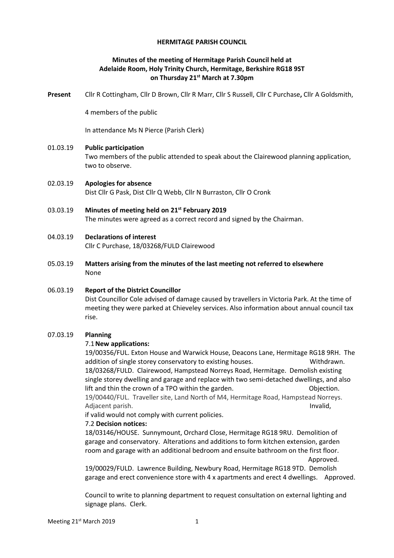# **HERMITAGE PARISH COUNCIL**

# **Minutes of the meeting of Hermitage Parish Council held at Adelaide Room, Holy Trinity Church, Hermitage, Berkshire RG18 9ST on Thursday 21st March at 7.30pm**

**Present** Cllr R Cottingham, Cllr D Brown, Cllr R Marr, Cllr S Russell, Cllr C Purchase**,** Cllr A Goldsmith,

4 members of the public

In attendance Ms N Pierce (Parish Clerk)

#### 01.03.19 **Public participation**

Two members of the public attended to speak about the Clairewood planning application, two to observe.

- 02.03.19 **Apologies for absence** Dist Cllr G Pask, Dist Cllr Q Webb, Cllr N Burraston, Cllr O Cronk
- 03.03.19 **Minutes of meeting held on 21st February 2019** The minutes were agreed as a correct record and signed by the Chairman.
- 04.03.19 **Declarations of interest** Cllr C Purchase, 18/03268/FULD Clairewood
- 05.03.19 **Matters arising from the minutes of the last meeting not referred to elsewhere** None

#### 06.03.19 **Report of the District Councillor**

Dist Councillor Cole advised of damage caused by travellers in Victoria Park. At the time of meeting they were parked at Chieveley services. Also information about annual council tax rise.

#### 07.03.19 **Planning**

#### 7.1**New applications:**

19/00356/FUL. Exton House and Warwick House, Deacons Lane, Hermitage RG18 9RH. The addition of single storey conservatory to existing houses. Withdrawn. 18/03268/FULD. Clairewood, Hampstead Norreys Road, Hermitage. Demolish existing single storey dwelling and garage and replace with two semi-detached dwellings, and also lift and thin the crown of a TPO within the garden. This control objection. 19/00440/FUL. Traveller site, Land North of M4, Hermitage Road, Hampstead Norreys. Adjacent parish. Invalid, the contract of the contract of the contract of the contract of the contract of the contract of the contract of the contract of the contract of the contract of the contract of the contract of the

if valid would not comply with current policies.

#### 7.2 **Decision notices:**

18/03146/HOUSE. Sunnymount, Orchard Close, Hermitage RG18 9RU. Demolition of garage and conservatory. Alterations and additions to form kitchen extension, garden room and garage with an additional bedroom and ensuite bathroom on the first floor. Approved.

19/00029/FULD. Lawrence Building, Newbury Road, Hermitage RG18 9TD. Demolish garage and erect convenience store with 4 x apartments and erect 4 dwellings. Approved.

Council to write to planning department to request consultation on external lighting and signage plans. Clerk.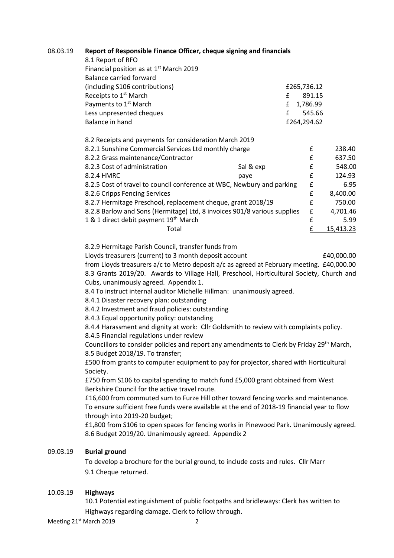# 08.03.19 **Report of Responsible Finance Officer, cheque signing and financials**

| 8.1 Report of RFO                                                        |   |             |  |           |  |
|--------------------------------------------------------------------------|---|-------------|--|-----------|--|
| Financial position as at 1 <sup>st</sup> March 2019                      |   |             |  |           |  |
| Balance carried forward                                                  |   |             |  |           |  |
| (including S106 contributions)                                           |   | £265,736.12 |  |           |  |
| Receipts to 1 <sup>st</sup> March                                        | f | 891.15      |  |           |  |
| Payments to 1 <sup>st</sup> March                                        | £ | 1,786.99    |  |           |  |
| Less unpresented cheques                                                 | f | 545.66      |  |           |  |
| Balance in hand                                                          |   | £264,294.62 |  |           |  |
|                                                                          |   |             |  |           |  |
| 8.2 Receipts and payments for consideration March 2019                   |   |             |  |           |  |
| 8.2.1 Sunshine Commercial Services Ltd monthly charge                    |   |             |  | 238.40    |  |
| 8.2.2 Grass maintenance/Contractor                                       |   | £           |  | 637.50    |  |
| 8.2.3 Cost of administration<br>Sal & exp                                |   | £           |  | 548.00    |  |
| 8.2.4 HMRC<br>paye                                                       |   | f           |  | 124.93    |  |
| 8.2.5 Cost of travel to council conference at WBC, Newbury and parking   |   | £           |  | 6.95      |  |
| 8.2.6 Cripps Fencing Services                                            |   | £           |  | 8,400.00  |  |
| 8.2.7 Hermitage Preschool, replacement cheque, grant 2018/19             |   | £           |  | 750.00    |  |
| 8.2.8 Barlow and Sons (Hermitage) Ltd, 8 invoices 901/8 various supplies |   | £           |  | 4,701.46  |  |
| 1 & 1 direct debit payment 19 <sup>th</sup> March                        |   | £           |  | 5.99      |  |
| Total                                                                    |   | £           |  | 15,413.23 |  |
|                                                                          |   |             |  |           |  |

8.2.9 Hermitage Parish Council, transfer funds from

Lloyds treasurers (current) to 3 month deposit account  $\qquad 20,000.00$ from Lloyds treasurers a/c to Metro deposit a/c as agreed at February meeting. £40,000.00 8.3 Grants 2019/20. Awards to Village Hall, Preschool, Horticultural Society, Church and Cubs, unanimously agreed. Appendix 1.

8.4 To instruct internal auditor Michelle Hillman: unanimously agreed.

8.4.1 Disaster recovery plan: outstanding

8.4.2 Investment and fraud policies: outstanding

8.4.3 Equal opportunity policy: outstanding

8.4.4 Harassment and dignity at work: Cllr Goldsmith to review with complaints policy.

8.4.5 Financial regulations under review

Councillors to consider policies and report any amendments to Clerk by Friday 29<sup>th</sup> March, 8.5 Budget 2018/19. To transfer;

£500 from grants to computer equipment to pay for projector, shared with Horticultural Society.

£750 from S106 to capital spending to match fund £5,000 grant obtained from West Berkshire Council for the active travel route.

£16,600 from commuted sum to Furze Hill other toward fencing works and maintenance. To ensure sufficient free funds were available at the end of 2018-19 financial year to flow through into 2019-20 budget;

£1,800 from S106 to open spaces for fencing works in Pinewood Park. Unanimously agreed. 8.6 Budget 2019/20. Unanimously agreed. Appendix 2

# 09.03.19 **Burial ground**

To develop a brochure for the burial ground, to include costs and rules. Cllr Marr 9.1 Cheque returned.

#### 10.03.19 **Highways**

10.1 Potential extinguishment of public footpaths and bridleways: Clerk has written to Highways regarding damage. Clerk to follow through.